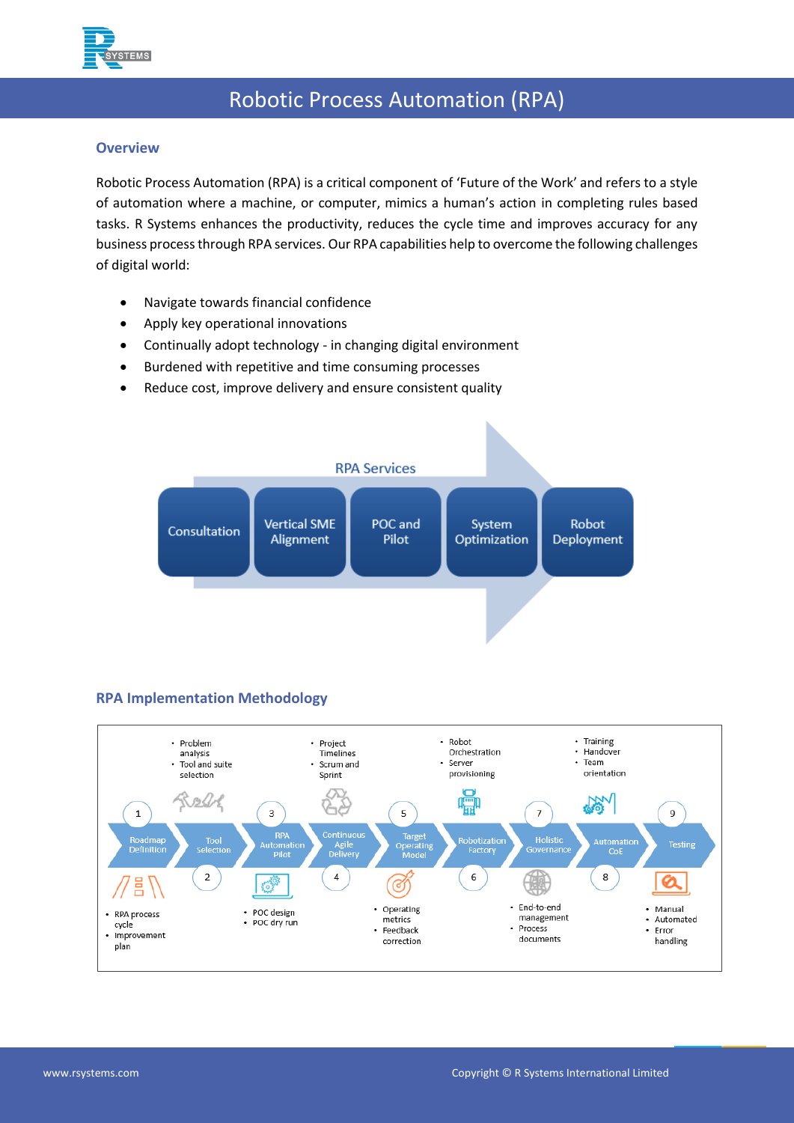

# Robotic Process Automation (RPA)

## **Overview**

Robotic Process Automation (RPA) is a critical component of 'Future of the Work' and refers to a style of automation where a machine, or computer, mimics a human's action in completing rules based tasks. R Systems enhances the productivity, reduces the cycle time and improves accuracy for any business processthrough RPA services. Our RPA capabilities help to overcome the following challenges of digital world:

- Navigate towards financial confidence
- Apply key operational innovations
- Continually adopt technology in changing digital environment
- Burdened with repetitive and time consuming processes
- Reduce cost, improve delivery and ensure consistent quality



# **RPA Implementation Methodology**